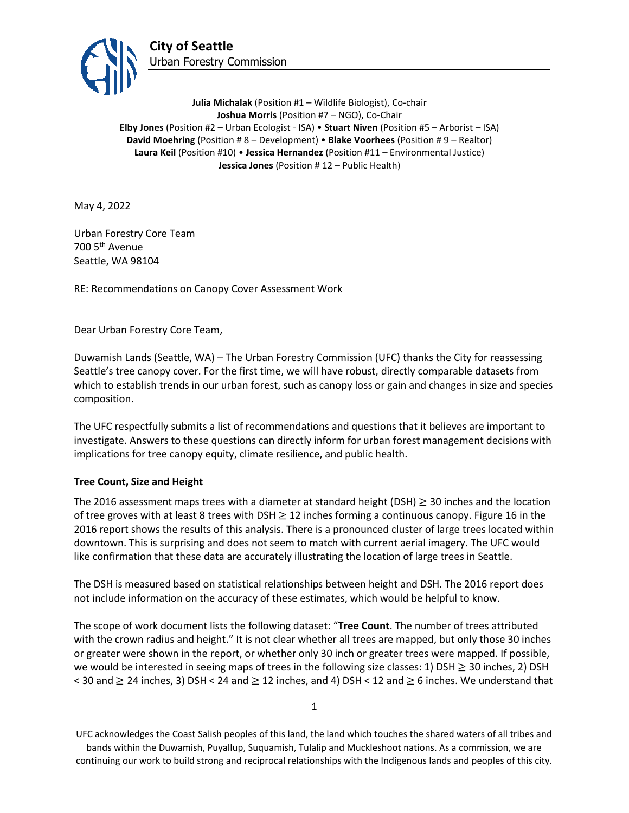

**Julia Michalak** (Position #1 – Wildlife Biologist), Co-chair **Joshua Morris** (Position #7 – NGO), Co-Chair **Elby Jones** (Position #2 – Urban Ecologist - ISA) • **Stuart Niven** (Position #5 – Arborist – ISA) **David Moehring** (Position # 8 – Development) • **Blake Voorhees** (Position # 9 – Realtor) **Laura Keil** (Position #10) • **Jessica Hernandez** (Position #11 – Environmental Justice) **Jessica Jones** (Position # 12 – Public Health)

May 4, 2022

Urban Forestry Core Team 700 5th Avenue Seattle, WA 98104

RE: Recommendations on Canopy Cover Assessment Work

Dear Urban Forestry Core Team,

Duwamish Lands (Seattle, WA) – The Urban Forestry Commission (UFC) thanks the City for reassessing Seattle's tree canopy cover. For the first time, we will have robust, directly comparable datasets from which to establish trends in our urban forest, such as canopy loss or gain and changes in size and species composition.

The UFC respectfully submits a list of recommendations and questions that it believes are important to investigate. Answers to these questions can directly inform for urban forest management decisions with implications for tree canopy equity, climate resilience, and public health.

### **Tree Count, Size and Height**

The 2016 assessment maps trees with a diameter at standard height (DSH)  $\geq$  30 inches and the location of tree groves with at least 8 trees with DSH  $\geq$  12 inches forming a continuous canopy. Figure 16 in the 2016 report shows the results of this analysis. There is a pronounced cluster of large trees located within downtown. This is surprising and does not seem to match with current aerial imagery. The UFC would like confirmation that these data are accurately illustrating the location of large trees in Seattle.

The DSH is measured based on statistical relationships between height and DSH. The 2016 report does not include information on the accuracy of these estimates, which would be helpful to know.

The scope of work document lists the following dataset: "**Tree Count**. The number of trees attributed with the crown radius and height." It is not clear whether all trees are mapped, but only those 30 inches or greater were shown in the report, or whether only 30 inch or greater trees were mapped. If possible, we would be interested in seeing maps of trees in the following size classes: 1) DSH  $\geq$  30 inches, 2) DSH < 30 and  $\geq$  24 inches, 3) DSH < 24 and  $\geq$  12 inches, and 4) DSH < 12 and  $\geq$  6 inches. We understand that

1

UFC acknowledges the Coast Salish peoples of this land, the land which touches the shared waters of all tribes and bands within the Duwamish, Puyallup, Suquamish, Tulalip and Muckleshoot nations. As a commission, we are continuing our work to build strong and reciprocal relationships with the Indigenous lands and peoples of this city.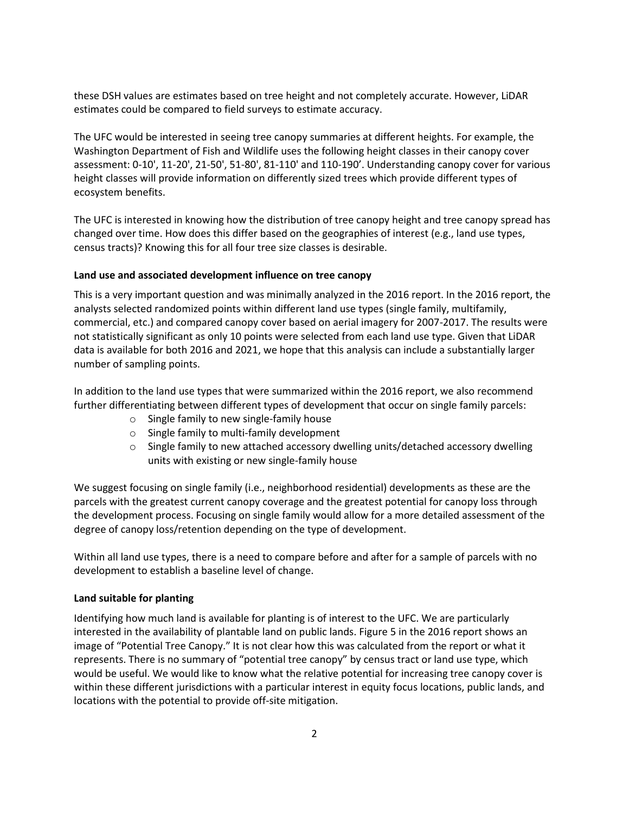these DSH values are estimates based on tree height and not completely accurate. However, LiDAR estimates could be compared to field surveys to estimate accuracy.

The UFC would be interested in seeing tree canopy summaries at different heights. For example, the Washington Department of Fish and Wildlife uses the following height classes in their canopy cover assessment: 0-10', 11-20', 21-50', 51-80', 81-110' and 110-190'. Understanding canopy cover for various height classes will provide information on differently sized trees which provide different types of ecosystem benefits.

The UFC is interested in knowing how the distribution of tree canopy height and tree canopy spread has changed over time. How does this differ based on the geographies of interest (e.g., land use types, census tracts)? Knowing this for all four tree size classes is desirable.

#### **Land use and associated development influence on tree canopy**

This is a very important question and was minimally analyzed in the 2016 report. In the 2016 report, the analysts selected randomized points within different land use types (single family, multifamily, commercial, etc.) and compared canopy cover based on aerial imagery for 2007-2017. The results were not statistically significant as only 10 points were selected from each land use type. Given that LiDAR data is available for both 2016 and 2021, we hope that this analysis can include a substantially larger number of sampling points.

In addition to the land use types that were summarized within the 2016 report, we also recommend further differentiating between different types of development that occur on single family parcels:

- o Single family to new single-family house
- o Single family to multi-family development
- $\circ$  Single family to new attached accessory dwelling units/detached accessory dwelling units with existing or new single-family house

We suggest focusing on single family (i.e., neighborhood residential) developments as these are the parcels with the greatest current canopy coverage and the greatest potential for canopy loss through the development process. Focusing on single family would allow for a more detailed assessment of the degree of canopy loss/retention depending on the type of development.

Within all land use types, there is a need to compare before and after for a sample of parcels with no development to establish a baseline level of change.

### **Land suitable for planting**

Identifying how much land is available for planting is of interest to the UFC. We are particularly interested in the availability of plantable land on public lands. Figure 5 in the 2016 report shows an image of "Potential Tree Canopy." It is not clear how this was calculated from the report or what it represents. There is no summary of "potential tree canopy" by census tract or land use type, which would be useful. We would like to know what the relative potential for increasing tree canopy cover is within these different jurisdictions with a particular interest in equity focus locations, public lands, and locations with the potential to provide off-site mitigation.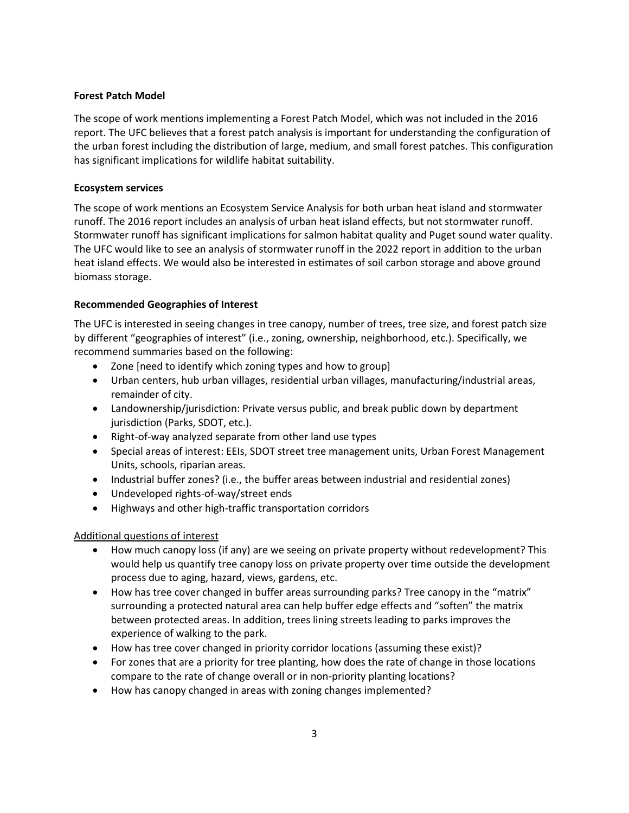### **Forest Patch Model**

The scope of work mentions implementing a Forest Patch Model, which was not included in the 2016 report. The UFC believes that a forest patch analysis is important for understanding the configuration of the urban forest including the distribution of large, medium, and small forest patches. This configuration has significant implications for wildlife habitat suitability.

### **Ecosystem services**

The scope of work mentions an Ecosystem Service Analysis for both urban heat island and stormwater runoff. The 2016 report includes an analysis of urban heat island effects, but not stormwater runoff. Stormwater runoff has significant implications for salmon habitat quality and Puget sound water quality. The UFC would like to see an analysis of stormwater runoff in the 2022 report in addition to the urban heat island effects. We would also be interested in estimates of soil carbon storage and above ground biomass storage.

## **Recommended Geographies of Interest**

The UFC is interested in seeing changes in tree canopy, number of trees, tree size, and forest patch size by different "geographies of interest" (i.e., zoning, ownership, neighborhood, etc.). Specifically, we recommend summaries based on the following:

- Zone [need to identify which zoning types and how to group]
- Urban centers, hub urban villages, residential urban villages, manufacturing/industrial areas, remainder of city.
- Landownership/jurisdiction: Private versus public, and break public down by department jurisdiction (Parks, SDOT, etc.).
- Right-of-way analyzed separate from other land use types
- Special areas of interest: EEIs, SDOT street tree management units, Urban Forest Management Units, schools, riparian areas.
- Industrial buffer zones? (i.e., the buffer areas between industrial and residential zones)
- Undeveloped rights-of-way/street ends
- Highways and other high-traffic transportation corridors

# Additional questions of interest

- How much canopy loss (if any) are we seeing on private property without redevelopment? This would help us quantify tree canopy loss on private property over time outside the development process due to aging, hazard, views, gardens, etc.
- How has tree cover changed in buffer areas surrounding parks? Tree canopy in the "matrix" surrounding a protected natural area can help buffer edge effects and "soften" the matrix between protected areas. In addition, trees lining streets leading to parks improves the experience of walking to the park.
- How has tree cover changed in priority corridor locations (assuming these exist)?
- For zones that are a priority for tree planting, how does the rate of change in those locations compare to the rate of change overall or in non-priority planting locations?
- How has canopy changed in areas with zoning changes implemented?